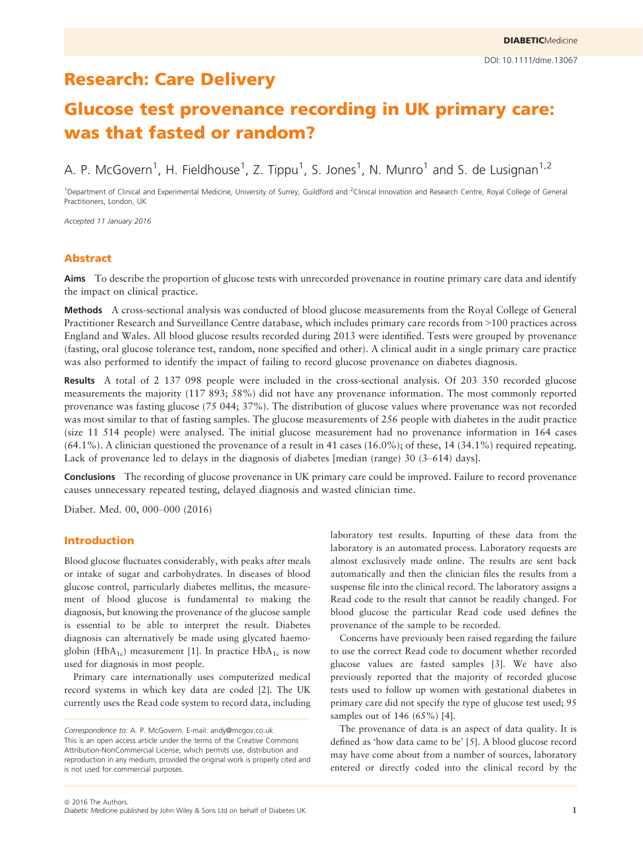# Research: Care Delivery

# Glucose test provenance recording in UK primary care: was that fasted or random?

A. P. McGovern<sup>1</sup>, H. Fieldhouse<sup>1</sup>, Z. Tippu<sup>1</sup>, S. Jones<sup>1</sup>, N. Munro<sup>1</sup> and S. de Lusignan<sup>1,2</sup>

<sup>1</sup>Department of Clinical and Experimental Medicine, University of Surrey, Guildford and <sup>2</sup>Clinical Innovation and Research Centre, Royal College of General Practitioners, London, UK

Accepted 11 January 2016

# Abstract

Aims To describe the proportion of glucose tests with unrecorded provenance in routine primary care data and identify the impact on clinical practice.

Methods A cross-sectional analysis was conducted of blood glucose measurements from the Royal College of General Practitioner Research and Surveillance Centre database, which includes primary care records from >100 practices across England and Wales. All blood glucose results recorded during 2013 were identified. Tests were grouped by provenance (fasting, oral glucose tolerance test, random, none specified and other). A clinical audit in a single primary care practice was also performed to identify the impact of failing to record glucose provenance on diabetes diagnosis.

Results A total of 2 137 098 people were included in the cross-sectional analysis. Of 203 350 recorded glucose measurements the majority (117 893; 58%) did not have any provenance information. The most commonly reported provenance was fasting glucose (75 044; 37%). The distribution of glucose values where provenance was not recorded was most similar to that of fasting samples. The glucose measurements of 256 people with diabetes in the audit practice (size 11 514 people) were analysed. The initial glucose measurement had no provenance information in 164 cases  $(64.1\%)$ . A clinician questioned the provenance of a result in 41 cases  $(16.0\%)$ ; of these, 14  $(34.1\%)$  required repeating. Lack of provenance led to delays in the diagnosis of diabetes [median (range) 30 (3–614) days].

Conclusions The recording of glucose provenance in UK primary care could be improved. Failure to record provenance causes unnecessary repeated testing, delayed diagnosis and wasted clinician time.

Diabet. Med. 00, 000–000 (2016)

# Introduction

Blood glucose fluctuates considerably, with peaks after meals or intake of sugar and carbohydrates. In diseases of blood glucose control, particularly diabetes mellitus, the measurement of blood glucose is fundamental to making the diagnosis, but knowing the provenance of the glucose sample is essential to be able to interpret the result. Diabetes diagnosis can alternatively be made using glycated haemoglobin (HbA<sub>1c</sub>) measurement [1]. In practice HbA<sub>1c</sub> is now used for diagnosis in most people.

Primary care internationally uses computerized medical record systems in which key data are coded [2]. The UK currently uses the Read code system to record data, including laboratory test results. Inputting of these data from the laboratory is an automated process. Laboratory requests are almost exclusively made online. The results are sent back automatically and then the clinician files the results from a suspense file into the clinical record. The laboratory assigns a Read code to the result that cannot be readily changed. For blood glucose the particular Read code used defines the provenance of the sample to be recorded.

Concerns have previously been raised regarding the failure to use the correct Read code to document whether recorded glucose values are fasted samples [3]. We have also previously reported that the majority of recorded glucose tests used to follow up women with gestational diabetes in primary care did not specify the type of glucose test used; 95 samples out of 146 (65%) [4].

The provenance of data is an aspect of data quality. It is defined as 'how data came to be' [5]. A blood glucose record may have come about from a number of sources, laboratory entered or directly coded into the clinical record by the

Correspondence to: A. P. McGovern. E-mail: andy@mcgov.co.uk This is an open access article under the terms of the [Creative Commons](http://creativecommons.org/licenses/by-nc/4.0/) [Attribution-NonCommercial](http://creativecommons.org/licenses/by-nc/4.0/) License, which permits use, distribution and reproduction in any medium, provided the original work is properly cited and is not used for commercial purposes.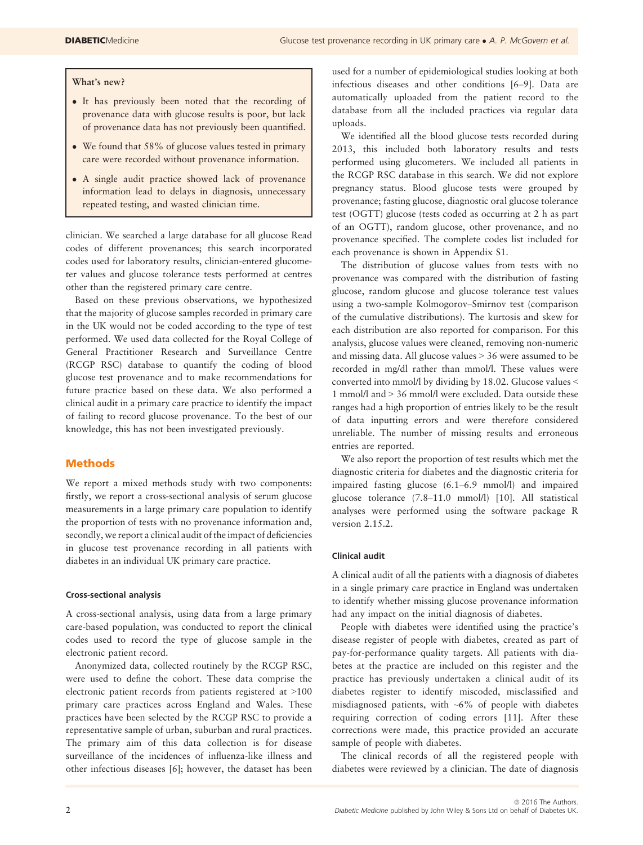# What's new?

- It has previously been noted that the recording of provenance data with glucose results is poor, but lack of provenance data has not previously been quantified.
- We found that 58% of glucose values tested in primary care were recorded without provenance information.
- A single audit practice showed lack of provenance information lead to delays in diagnosis, unnecessary repeated testing, and wasted clinician time.

clinician. We searched a large database for all glucose Read codes of different provenances; this search incorporated codes used for laboratory results, clinician-entered glucometer values and glucose tolerance tests performed at centres other than the registered primary care centre.

Based on these previous observations, we hypothesized that the majority of glucose samples recorded in primary care in the UK would not be coded according to the type of test performed. We used data collected for the Royal College of General Practitioner Research and Surveillance Centre (RCGP RSC) database to quantify the coding of blood glucose test provenance and to make recommendations for future practice based on these data. We also performed a clinical audit in a primary care practice to identify the impact of failing to record glucose provenance. To the best of our knowledge, this has not been investigated previously.

# Methods

We report a mixed methods study with two components: firstly, we report a cross-sectional analysis of serum glucose measurements in a large primary care population to identify the proportion of tests with no provenance information and, secondly, we report a clinical audit of the impact of deficiencies in glucose test provenance recording in all patients with diabetes in an individual UK primary care practice.

#### Cross-sectional analysis

A cross-sectional analysis, using data from a large primary care-based population, was conducted to report the clinical codes used to record the type of glucose sample in the electronic patient record.

Anonymized data, collected routinely by the RCGP RSC, were used to define the cohort. These data comprise the electronic patient records from patients registered at >100 primary care practices across England and Wales. These practices have been selected by the RCGP RSC to provide a representative sample of urban, suburban and rural practices. The primary aim of this data collection is for disease surveillance of the incidences of influenza-like illness and other infectious diseases [6]; however, the dataset has been

used for a number of epidemiological studies looking at both infectious diseases and other conditions [6–9]. Data are automatically uploaded from the patient record to the database from all the included practices via regular data uploads.

We identified all the blood glucose tests recorded during 2013, this included both laboratory results and tests performed using glucometers. We included all patients in the RCGP RSC database in this search. We did not explore pregnancy status. Blood glucose tests were grouped by provenance; fasting glucose, diagnostic oral glucose tolerance test (OGTT) glucose (tests coded as occurring at 2 h as part of an OGTT), random glucose, other provenance, and no provenance specified. The complete codes list included for each provenance is shown in Appendix S1.

The distribution of glucose values from tests with no provenance was compared with the distribution of fasting glucose, random glucose and glucose tolerance test values using a two-sample Kolmogorov–Smirnov test (comparison of the cumulative distributions). The kurtosis and skew for each distribution are also reported for comparison. For this analysis, glucose values were cleaned, removing non-numeric and missing data. All glucose values > 36 were assumed to be recorded in mg/dl rather than mmol/l. These values were converted into mmol/l by dividing by 18.02. Glucose values < 1 mmol/l and > 36 mmol/l were excluded. Data outside these ranges had a high proportion of entries likely to be the result of data inputting errors and were therefore considered unreliable. The number of missing results and erroneous entries are reported.

We also report the proportion of test results which met the diagnostic criteria for diabetes and the diagnostic criteria for impaired fasting glucose (6.1–6.9 mmol/l) and impaired glucose tolerance (7.8–11.0 mmol/l) [10]. All statistical analyses were performed using the software package R version 2.15.2.

# Clinical audit

A clinical audit of all the patients with a diagnosis of diabetes in a single primary care practice in England was undertaken to identify whether missing glucose provenance information had any impact on the initial diagnosis of diabetes.

People with diabetes were identified using the practice's disease register of people with diabetes, created as part of pay-for-performance quality targets. All patients with diabetes at the practice are included on this register and the practice has previously undertaken a clinical audit of its diabetes register to identify miscoded, misclassified and misdiagnosed patients, with  $~6\%$  of people with diabetes requiring correction of coding errors [11]. After these corrections were made, this practice provided an accurate sample of people with diabetes.

The clinical records of all the registered people with diabetes were reviewed by a clinician. The date of diagnosis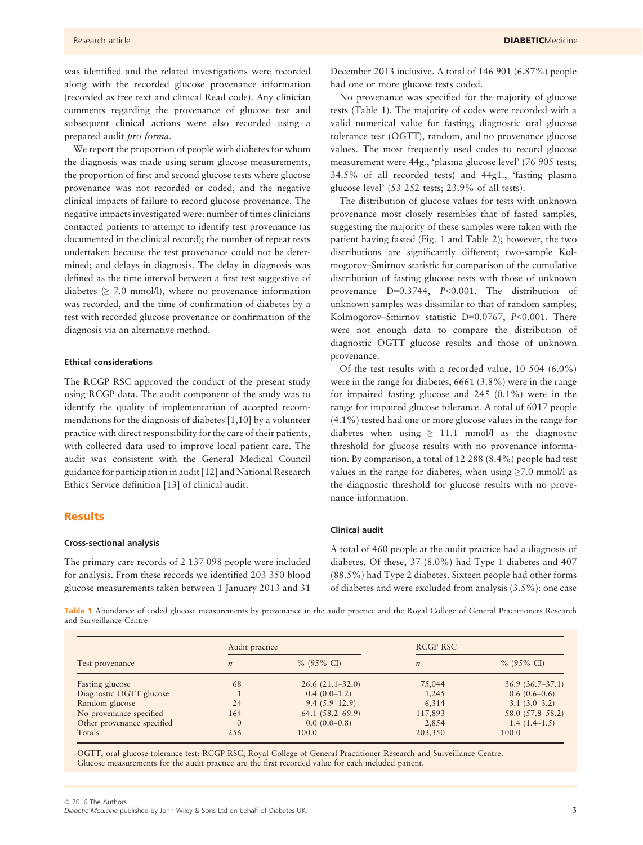was identified and the related investigations were recorded along with the recorded glucose provenance information (recorded as free text and clinical Read code). Any clinician comments regarding the provenance of glucose test and subsequent clinical actions were also recorded using a prepared audit pro forma.

We report the proportion of people with diabetes for whom the diagnosis was made using serum glucose measurements, the proportion of first and second glucose tests where glucose provenance was not recorded or coded, and the negative clinical impacts of failure to record glucose provenance. The negative impacts investigated were: number of times clinicians contacted patients to attempt to identify test provenance (as documented in the clinical record); the number of repeat tests undertaken because the test provenance could not be determined; and delays in diagnosis. The delay in diagnosis was defined as the time interval between a first test suggestive of diabetes  $(≥ 7.0 mmol/l)$ , where no provenance information was recorded, and the time of confirmation of diabetes by a test with recorded glucose provenance or confirmation of the diagnosis via an alternative method.

# Ethical considerations

The RCGP RSC approved the conduct of the present study using RCGP data. The audit component of the study was to identify the quality of implementation of accepted recommendations for the diagnosis of diabetes [1,10] by a volunteer practice with direct responsibility for the care of their patients, with collected data used to improve local patient care. The audit was consistent with the General Medical Council guidance for participation in audit [12] and National Research Ethics Service definition [13] of clinical audit.

# Results

#### Cross-sectional analysis

The primary care records of 2 137 098 people were included for analysis. From these records we identified 203 350 blood glucose measurements taken between 1 January 2013 and 31 December 2013 inclusive. A total of 146 901 (6.87%) people had one or more glucose tests coded.

No provenance was specified for the majority of glucose tests (Table 1). The majority of codes were recorded with a valid numerical value for fasting, diagnostic oral glucose tolerance test (OGTT), random, and no provenance glucose values. The most frequently used codes to record glucose measurement were 44g., 'plasma glucose level' (76 905 tests; 34.5% of all recorded tests) and 44g1., 'fasting plasma glucose level' (53 252 tests; 23.9% of all tests).

The distribution of glucose values for tests with unknown provenance most closely resembles that of fasted samples, suggesting the majority of these samples were taken with the patient having fasted (Fig. 1 and Table 2); however, the two distributions are significantly different; two-sample Kolmogorov–Smirnov statistic for comparison of the cumulative distribution of fasting glucose tests with those of unknown provenance D=0.3744, P<0.001. The distribution of unknown samples was dissimilar to that of random samples; Kolmogorov–Smirnov statistic D=0.0767, P<0.001. There were not enough data to compare the distribution of diagnostic OGTT glucose results and those of unknown provenance.

Of the test results with a recorded value, 10 504 (6.0%) were in the range for diabetes, 6661 (3.8%) were in the range for impaired fasting glucose and 245 (0.1%) were in the range for impaired glucose tolerance. A total of 6017 people (4.1%) tested had one or more glucose values in the range for diabetes when using  $\geq 11.1$  mmol/l as the diagnostic threshold for glucose results with no provenance information. By comparison, a total of 12 288 (8.4%) people had test values in the range for diabetes, when using  $\geq 7.0$  mmol/l as the diagnostic threshold for glucose results with no provenance information.

### Clinical audit

A total of 460 people at the audit practice had a diagnosis of diabetes. Of these, 37 (8.0%) had Type 1 diabetes and 407 (88.5%) had Type 2 diabetes. Sixteen people had other forms of diabetes and were excluded from analysis (3.5%): one case

Table 1 Abundance of coded glucose measurements by provenance in the audit practice and the Royal College of General Practitioners Research and Surveillance Centre

| Test provenance            | Audit practice   |                     | <b>RCGP RSC</b>  |                     |
|----------------------------|------------------|---------------------|------------------|---------------------|
|                            | $\boldsymbol{n}$ | $\%$ (95% CI)       | $\boldsymbol{n}$ | $\%$ (95% CI)       |
| Fasting glucose            | 68               | $26.6(21.1-32.0)$   | 75,044           | $36.9(36.7-37.1)$   |
| Diagnostic OGTT glucose    |                  | $0.4(0.0-1.2)$      | 1,245            | $0.6(0.6-0.6)$      |
| Random glucose             | 24               | $9.4(5.9-12.9)$     | 6,314            | $3.1(3.0-3.2)$      |
| No provenance specified    | 164              | $64.1(58.2 - 69.9)$ | 117,893          | $58.0(57.8 - 58.2)$ |
| Other provenance specified |                  | $0.0(0.0-0.8)$      | 2,854            | $1.4(1.4-1.5)$      |
| Totals                     | 256              | 100.0               | 203,350          | 100.0               |

OGTT, oral glucose tolerance test; RCGP RSC, Royal College of General Practitioner Research and Surveillance Centre. Glucose measurements for the audit practice are the first recorded value for each included patient.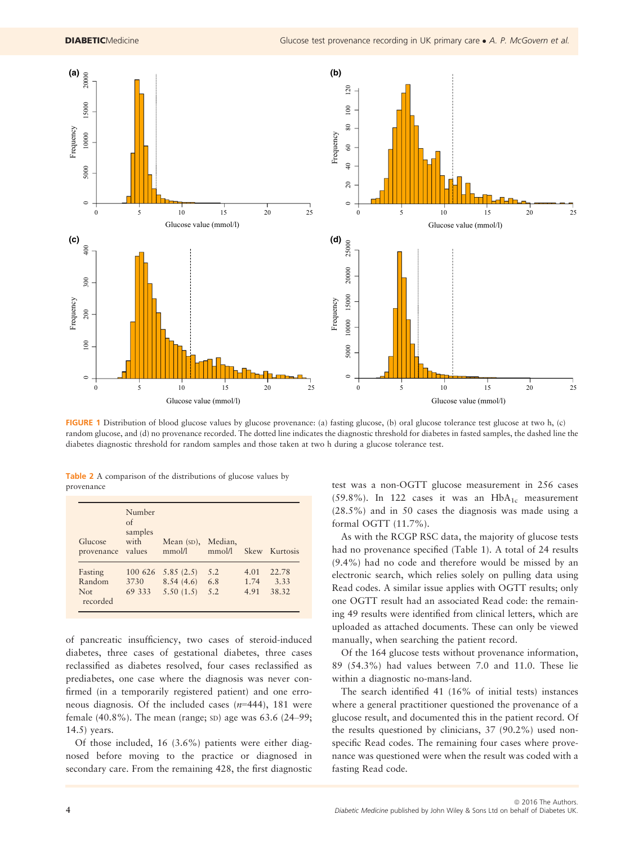

FIGURE 1 Distribution of blood glucose values by glucose provenance: (a) fasting glucose, (b) oral glucose tolerance test glucose at two h, (c) random glucose, and (d) no provenance recorded. The dotted line indicates the diagnostic threshold for diabetes in fasted samples, the dashed line the diabetes diagnostic threshold for random samples and those taken at two h during a glucose tolerance test.

Table 2 A comparison of the distributions of glucose values by provenance

| Glucose<br>provenance  | Number<br>of<br>samples<br>with<br>values | Mean $(SD)$ ,<br>mmol/l | Median.<br>mmol/l |      | Skew Kurtosis |
|------------------------|-------------------------------------------|-------------------------|-------------------|------|---------------|
| Fasting                |                                           | $100626$ 5.85 (2.5)     | 5.2               | 4.01 | 22.78         |
| Random                 | 3730                                      | 8.54(4.6)               | 6.8               | 1.74 | 3.33          |
| <b>Not</b><br>recorded | 69 333                                    | 5.50(1.5)               | 5.2               | 4.91 | 38.32         |

of pancreatic insufficiency, two cases of steroid-induced diabetes, three cases of gestational diabetes, three cases reclassified as diabetes resolved, four cases reclassified as prediabetes, one case where the diagnosis was never confirmed (in a temporarily registered patient) and one erroneous diagnosis. Of the included cases  $(n=444)$ , 181 were female  $(40.8\%)$ . The mean (range; sp) age was 63.6  $(24-99)$ ; 14.5) years.

Of those included, 16 (3.6%) patients were either diagnosed before moving to the practice or diagnosed in secondary care. From the remaining 428, the first diagnostic test was a non-OGTT glucose measurement in 256 cases (59.8%). In 122 cases it was an  $HbA_{1c}$  measurement (28.5%) and in 50 cases the diagnosis was made using a formal OGTT (11.7%).

As with the RCGP RSC data, the majority of glucose tests had no provenance specified (Table 1). A total of 24 results (9.4%) had no code and therefore would be missed by an electronic search, which relies solely on pulling data using Read codes. A similar issue applies with OGTT results; only one OGTT result had an associated Read code: the remaining 49 results were identified from clinical letters, which are uploaded as attached documents. These can only be viewed manually, when searching the patient record.

Of the 164 glucose tests without provenance information, 89 (54.3%) had values between 7.0 and 11.0. These lie within a diagnostic no-mans-land.

The search identified 41 (16% of initial tests) instances where a general practitioner questioned the provenance of a glucose result, and documented this in the patient record. Of the results questioned by clinicians, 37 (90.2%) used nonspecific Read codes. The remaining four cases where provenance was questioned were when the result was coded with a fasting Read code.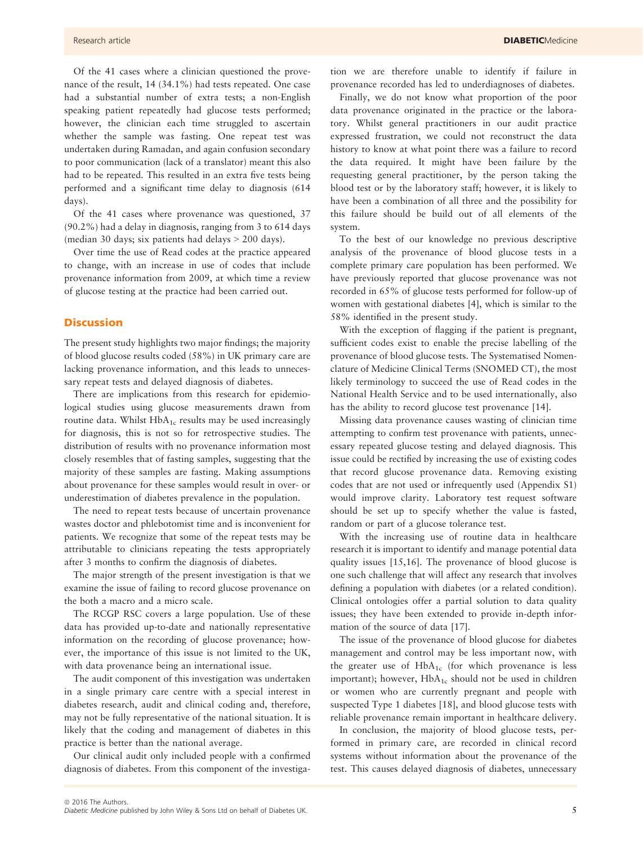Of the 41 cases where a clinician questioned the provenance of the result, 14 (34.1%) had tests repeated. One case had a substantial number of extra tests; a non-English speaking patient repeatedly had glucose tests performed; however, the clinician each time struggled to ascertain whether the sample was fasting. One repeat test was undertaken during Ramadan, and again confusion secondary to poor communication (lack of a translator) meant this also had to be repeated. This resulted in an extra five tests being performed and a significant time delay to diagnosis (614 days).

Of the 41 cases where provenance was questioned, 37 (90.2%) had a delay in diagnosis, ranging from 3 to 614 days (median 30 days; six patients had delays > 200 days).

Over time the use of Read codes at the practice appeared to change, with an increase in use of codes that include provenance information from 2009, at which time a review of glucose testing at the practice had been carried out.

# **Discussion**

The present study highlights two major findings; the majority of blood glucose results coded (58%) in UK primary care are lacking provenance information, and this leads to unnecessary repeat tests and delayed diagnosis of diabetes.

There are implications from this research for epidemiological studies using glucose measurements drawn from routine data. Whilst  $HbA_{1c}$  results may be used increasingly for diagnosis, this is not so for retrospective studies. The distribution of results with no provenance information most closely resembles that of fasting samples, suggesting that the majority of these samples are fasting. Making assumptions about provenance for these samples would result in over- or underestimation of diabetes prevalence in the population.

The need to repeat tests because of uncertain provenance wastes doctor and phlebotomist time and is inconvenient for patients. We recognize that some of the repeat tests may be attributable to clinicians repeating the tests appropriately after 3 months to confirm the diagnosis of diabetes.

The major strength of the present investigation is that we examine the issue of failing to record glucose provenance on the both a macro and a micro scale.

The RCGP RSC covers a large population. Use of these data has provided up-to-date and nationally representative information on the recording of glucose provenance; however, the importance of this issue is not limited to the UK, with data provenance being an international issue.

The audit component of this investigation was undertaken in a single primary care centre with a special interest in diabetes research, audit and clinical coding and, therefore, may not be fully representative of the national situation. It is likely that the coding and management of diabetes in this practice is better than the national average.

Our clinical audit only included people with a confirmed diagnosis of diabetes. From this component of the investigation we are therefore unable to identify if failure in provenance recorded has led to underdiagnoses of diabetes.

Finally, we do not know what proportion of the poor data provenance originated in the practice or the laboratory. Whilst general practitioners in our audit practice expressed frustration, we could not reconstruct the data history to know at what point there was a failure to record the data required. It might have been failure by the requesting general practitioner, by the person taking the blood test or by the laboratory staff; however, it is likely to have been a combination of all three and the possibility for this failure should be build out of all elements of the system.

To the best of our knowledge no previous descriptive analysis of the provenance of blood glucose tests in a complete primary care population has been performed. We have previously reported that glucose provenance was not recorded in 65% of glucose tests performed for follow-up of women with gestational diabetes [4], which is similar to the 58% identified in the present study.

With the exception of flagging if the patient is pregnant, sufficient codes exist to enable the precise labelling of the provenance of blood glucose tests. The Systematised Nomenclature of Medicine Clinical Terms (SNOMED CT), the most likely terminology to succeed the use of Read codes in the National Health Service and to be used internationally, also has the ability to record glucose test provenance [14].

Missing data provenance causes wasting of clinician time attempting to confirm test provenance with patients, unnecessary repeated glucose testing and delayed diagnosis. This issue could be rectified by increasing the use of existing codes that record glucose provenance data. Removing existing codes that are not used or infrequently used (Appendix S1) would improve clarity. Laboratory test request software should be set up to specify whether the value is fasted, random or part of a glucose tolerance test.

With the increasing use of routine data in healthcare research it is important to identify and manage potential data quality issues [15,16]. The provenance of blood glucose is one such challenge that will affect any research that involves defining a population with diabetes (or a related condition). Clinical ontologies offer a partial solution to data quality issues; they have been extended to provide in-depth information of the source of data [17].

The issue of the provenance of blood glucose for diabetes management and control may be less important now, with the greater use of  $HbA_{1c}$  (for which provenance is less important); however,  $HbA_{1c}$  should not be used in children or women who are currently pregnant and people with suspected Type 1 diabetes [18], and blood glucose tests with reliable provenance remain important in healthcare delivery.

In conclusion, the majority of blood glucose tests, performed in primary care, are recorded in clinical record systems without information about the provenance of the test. This causes delayed diagnosis of diabetes, unnecessary